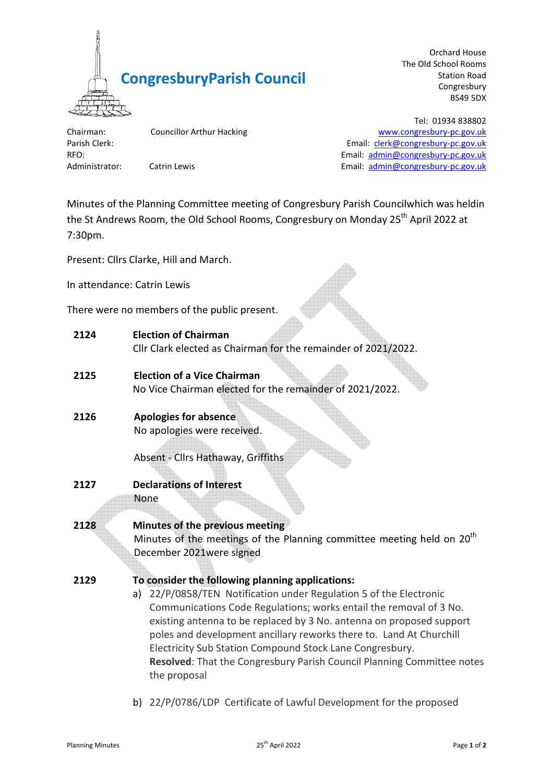

 Orchard House The Old School Rooms

Chairman: Councillor Arthur Hacking www.congresbury-pc.gov.uk Parish Clerk: Email: clerk@congresbury-pc.gov.uk RFO: Email: admin@congresbury-pc.gov.uk Administrator: Catrin Lewis Consumer Catrin Lewis Email: admin@congresbury-pc.gov.uk

Tel: 01934 838802

Minutes of the Planning Committee meeting of Congresbury Parish Councilwhich was heldin the St Andrews Room, the Old School Rooms, Congresbury on Monday 25<sup>th</sup> April 2022 at 7:30pm.

Present: Cllrs Clarke, Hill and March.

In attendance: Catrin Lewis

There were no members of the public present.

- **2124 Election of Chairman**  Cllr Clark elected as Chairman for the remainder of 2021/2022.
- **2125 Election of a Vice Chairman**  No Vice Chairman elected for the remainder of 2021/2022.
- **2126 Apologies for absence** No apologies were received.

Absent - Cllrs Hathaway, Griffiths

**2127 Declarations of Interest**

None

# **2128 Minutes of the previous meeting**

Minutes of the meetings of the Planning committee meeting held on  $20<sup>th</sup>$ December 2021were signed

### **2129 To consider the following planning applications:**

- a) 22/P/0858/TEN Notification under Regulation 5 of the Electronic Communications Code Regulations; works entail the removal of 3 No. existing antenna to be replaced by 3 No. antenna on proposed support poles and development ancillary reworks there to. Land At Churchill Electricity Sub Station Compound Stock Lane Congresbury. **Resolved**: That the Congresbury Parish Council Planning Committee notes the proposal
- b) 22/P/0786/LDP Certificate of Lawful Development for the proposed